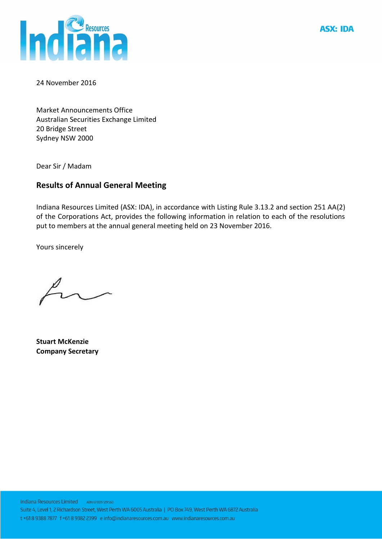

**ASX: IDA** 

24 November 2016

Market Announcements Office Australian Securities Exchange Limited 20 Bridge Street Sydney NSW 2000

Dear Sir / Madam

## **Results of Annual General Meeting**

Indiana Resources Limited (ASX: IDA), in accordance with Listing Rule 3.13.2 and section 251 AA(2) of the Corporations Act, provides the following information in relation to each of the resolutions put to members at the annual general meeting held on 23 November 2016.

Yours sincerely

**Stuart McKenzie Company Secretary**

Indiana Resources Limited ABN 67009129560 Suite 4, Level 1, 2 Richardson Street, West Perth WA 6005 Australia | PO Box 749, West Perth WA 6872 Australia t +618 9388 7877 f +618 9382 2399 e info@indianaresources.com.au www.indianaresources.com.au